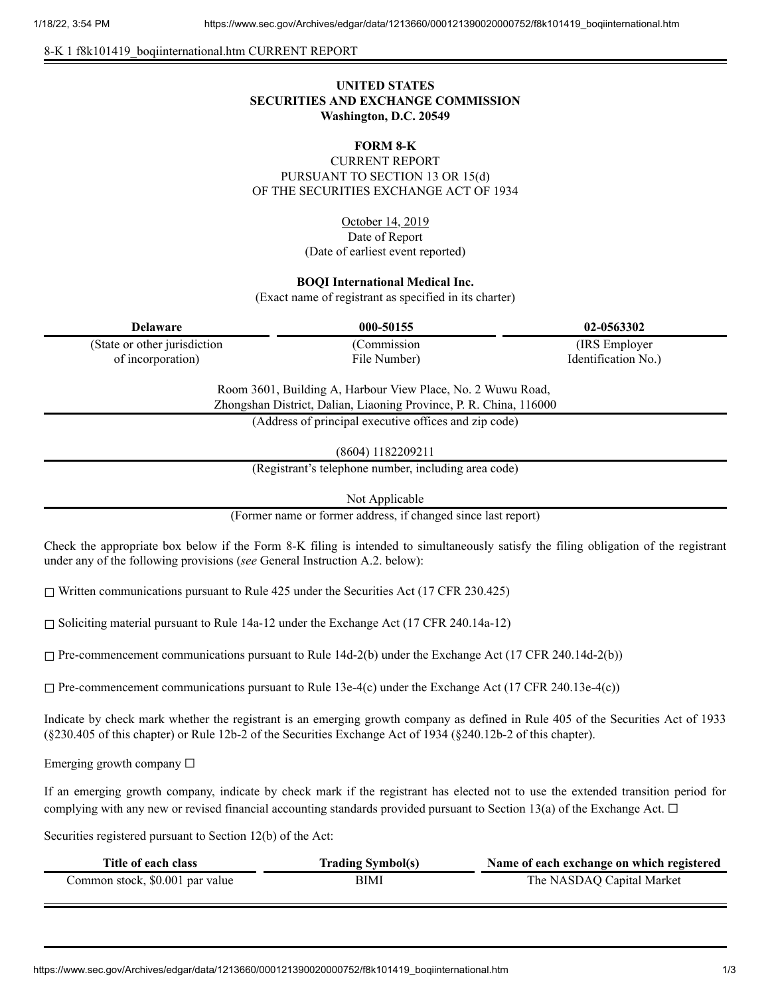#### 8-K 1 f8k101419\_boqiinternational.htm CURRENT REPORT

# **UNITED STATES SECURITIES AND EXCHANGE COMMISSION Washington, D.C. 20549**

# **FORM 8-K**

CURRENT REPORT PURSUANT TO SECTION 13 OR 15(d) OF THE SECURITIES EXCHANGE ACT OF 1934

> October 14, 2019 Date of Report (Date of earliest event reported)

# **BOQI International Medical Inc.**

(Exact name of registrant as specified in its charter)

| <b>Delaware</b>               | 000-50155    | 02-0563302          |
|-------------------------------|--------------|---------------------|
| (State or other jurisdiction) | (Commission) | (IRS Employer)      |
| of incorporation)             | File Number) | Identification No.) |

Room 3601, Building A, Harbour View Place, No. 2 Wuwu Road, Zhongshan District, Dalian, Liaoning Province, P. R. China, 116000

(Address of principal executive offices and zip code)

(8604) 1182209211

(Registrant's telephone number, including area code)

Not Applicable

(Former name or former address, if changed since last report)

Check the appropriate box below if the Form 8-K filing is intended to simultaneously satisfy the filing obligation of the registrant under any of the following provisions (*see* General Instruction A.2. below):

☐ Written communications pursuant to Rule 425 under the Securities Act (17 CFR 230.425)

 $\Box$  Soliciting material pursuant to Rule 14a-12 under the Exchange Act (17 CFR 240.14a-12)

 $\Box$  Pre-commencement communications pursuant to Rule 14d-2(b) under the Exchange Act (17 CFR 240.14d-2(b))

 $\Box$  Pre-commencement communications pursuant to Rule 13e-4(c) under the Exchange Act (17 CFR 240.13e-4(c))

Indicate by check mark whether the registrant is an emerging growth company as defined in Rule 405 of the Securities Act of 1933 (§230.405 of this chapter) or Rule 12b-2 of the Securities Exchange Act of 1934 (§240.12b-2 of this chapter).

Emerging growth company  $\Box$ 

If an emerging growth company, indicate by check mark if the registrant has elected not to use the extended transition period for complying with any new or revised financial accounting standards provided pursuant to Section 13(a) of the Exchange Act.  $\Box$ 

Securities registered pursuant to Section 12(b) of the Act:

| Title of each class             | <b>Trading Symbol(s)</b> | Name of each exchange on which registered |
|---------------------------------|--------------------------|-------------------------------------------|
| Common stock, \$0.001 par value | BIMI                     | The NASDAQ Capital Market                 |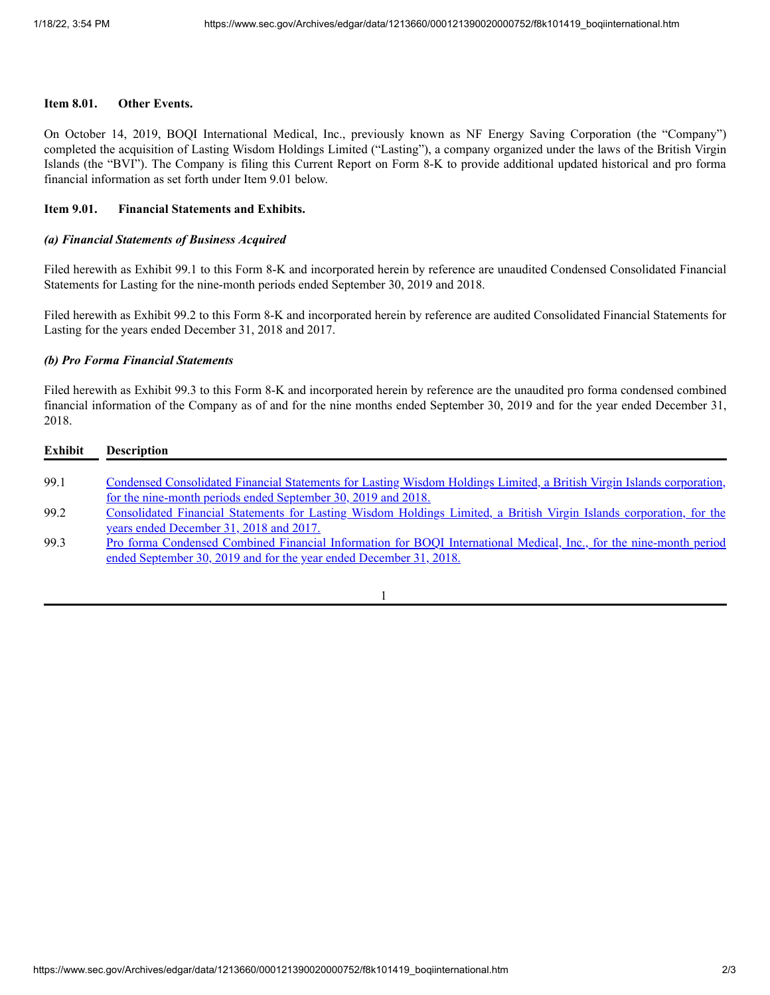# **Item 8.01. Other Events.**

On October 14, 2019, BOQI International Medical, Inc., previously known as NF Energy Saving Corporation (the "Company") completed the acquisition of Lasting Wisdom Holdings Limited ("Lasting"), a company organized under the laws of the British Virgin Islands (the "BVI"). The Company is filing this Current Report on Form 8-K to provide additional updated historical and pro forma financial information as set forth under Item 9.01 below.

## **Item 9.01. Financial Statements and Exhibits.**

## *(a) Financial Statements of Business Acquired*

Filed herewith as Exhibit 99.1 to this Form 8-K and incorporated herein by reference are unaudited Condensed Consolidated Financial Statements for Lasting for the nine-month periods ended September 30, 2019 and 2018.

Filed herewith as Exhibit 99.2 to this Form 8-K and incorporated herein by reference are audited Consolidated Financial Statements for Lasting for the years ended December 31, 2018 and 2017.

#### *(b) Pro Forma Financial Statements*

Filed herewith as Exhibit 99.3 to this Form 8-K and incorporated herein by reference are the unaudited pro forma condensed combined financial information of the Company as of and for the nine months ended September 30, 2019 and for the year ended December 31, 2018.

| Exhibit | <b>Description</b>                                                                                                     |
|---------|------------------------------------------------------------------------------------------------------------------------|
| 99.1    | Condensed Consolidated Financial Statements for Lasting Wisdom Holdings Limited, a British Virgin Islands corporation, |
|         | for the nine-month periods ended September 30, 2019 and 2018.                                                          |
| 99.2    | Consolidated Financial Statements for Lasting Wisdom Holdings Limited, a British Virgin Islands corporation, for the   |
|         | years ended December 31, 2018 and 2017.                                                                                |
| 99.3    | Pro forma Condensed Combined Financial Information for BOQI International Medical, Inc., for the nine-month period     |
|         | ended September 30, 2019 and for the year ended December 31, 2018.                                                     |
|         |                                                                                                                        |

1